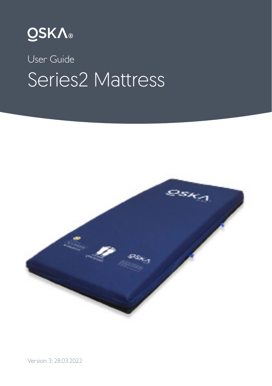

# User Guide Series2 Mattress



Version 3: 28.03.2022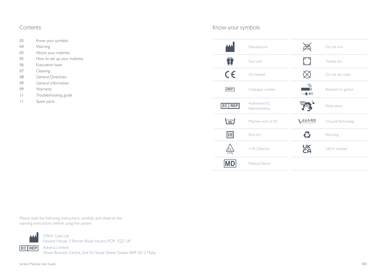### Contents

- 03 Know your symbols
- 04 Warning
- 05 About your mattress
- 05 How to set up your mattress
- 06 Evacuation base
- 07 Cleaning
- 08 General Directives
- 09 General information
- 09 Warranty
- 11 Troubleshooting guide
- 11 Spare parts

### Know your symbols

| Manufacturer                              | Do not iron                        |
|-------------------------------------------|------------------------------------|
| Foot end                                  | Tumble dry                         |
| $\epsilon$<br>CF marked                   | Do not dry clean                   |
| <b>REF</b><br>Catalogue number            | Resistant to ignition<br>$-505$    |
| Authorized FC<br>EC REP<br>Representative | Wipe down                          |
| $\widetilde{95}$<br>Machine wash at 95    | <b>GUARD</b><br>V-Guard Technology |
| $\boxed{\mathbb{H}}$<br>Drip dry          | ŵ<br>Recycling                     |
| <1% Chlorine<br>СL<br>$< 1\%$             | UK<br>CA<br>UKCA marked            |
| <b>Medical Device</b>                     |                                    |

Please read the following instructions carefully and observe the warning instructions before using the system.



OSKA Care Ltd Edward House, 5 Penner Road, Havant, PO9 1QZ UK

Advena Limited **EC REP**Tower Business Centre, 2nd Flr., Tower Street, Swatar, BKR 4013 Malta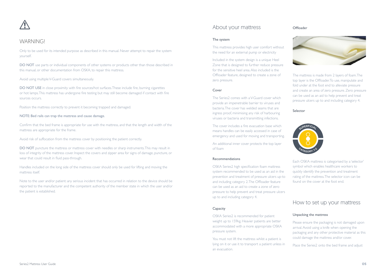

### **WARNING**

Only to be used for its intended purpose as described in this manual. Never attempt to repair the system yourself.

DO NOT use parts or individual components of other systems or products other than those described in this manual, or other documentation from OSKA, to repair this mattress.

#### Avoid using multiple V-Guard covers simultaneously.

DO NOT USE in close proximity with fire sources/hot surfaces. These include fire, burning cigarettes or hot lamps. This mattress has undergone fire testing but may still become damaged if contact with fire sources occurs.

Position the mattress correctly to prevent it becoming trapped and damaged.

#### NOTE: Bed rails can trap the mattress and cause damage.

Confirm that the bed frame is appropriate for use with the mattress, and that the length and width of the mattress are appropriate for the frame.

Avoid risk of suffocation from the mattress cover by positioning the patient correctly.

DO NOT puncture the mattress or mattress cover with needles or sharp instruments. This may result in loss of integrity of the mattress cover. Inspect the covers and zipper area for signs of damage, puncture, or wear that could result in fluid pass-through.

Handles included on the long side of the mattress cover should only be used for lifting and moving the mattress itself.

Note to the user and/or patient: any serious incident that has occurred in relation to the device should be reported to the manufacturer and the competent authority of the member state in which the user and/or the patient is established.

### About your mattress

#### **Offloader**

#### The system

This mattress provides high user comfort without the need for an external pump or electricity

Included in the system design is a unique Heel Zone that is designed to further reduce pressure for the sensitive heel area. Also included is the Offloader feature, designed to create a zone of zero pressure.

#### Cover

The Series2 comes with a V-Guard cover which provide an impenetrable barrier to viruses and bacteria. The cover has welded seams that are ingress proof, minimising any risk of harbouring viruses or bacteria and transmitting infections.

The cover includes a fire evacuation base which means handles can be easily accessed in case of emergency and used for moving and transporting.

An additional inner cover protects the top layer of foam

#### Recommendations

OSKA Series2 high specification foam mattress system recommended to be used as an aid in the prevention and treatment of pressure ulcers up-to and including category 2. The Offloader feature can be used as an aid to create a zone of zero pressure to help prevent and treat pressure ulcers up to and including category 4.

#### **Capacity**

OSKA Series2 is recommended for patient weight up to 159kg. Heavier patients are better accommodated with a more appropriate OSKA pressure system.

You must not lift the mattress whilst a patient is lying on it or use it to transport a patient unless in an evacuation.



The mattress is made from 2 layers of foam. The top layer is the Offloader. To use, manipulate and fold under at the foot end to alleviate pressure and create an area of zero pressure. Zero pressure can be used as an aid to help prevent and treat pressure ulcers up to and including category 4.

#### Selector



Each OSKA mattress is categorised by a 'selector' symbol which enables healthcare workers to quickly identify the prevention and treatment rating of the mattress. The selector icon can be found on the cover at the foot end.

### How to set up your mattress

#### Unpacking the mattress

Please ensure the packaging is not damaged upon arrival. Avoid using a knife when opening the packaging and any other protective material as this could damage the mattress and/or cover.

Place the Series2 onto the bed frame and adjust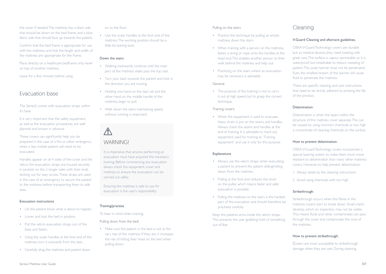the cover if needed. The mattress has a black side that should be down on the bed frame, and a blue fabric side that should face up towards the patient.

Confirm that the bed frame is appropriate for use with the mattress, and that the length and width of the mattress are appropriate for the frame.

Place directly on a healthcare bedframe only, never on top of another mattress.

Leave for a few minutes before using

### Evacuation base

The Series2 comes with evacuation straps within it's base.

It is very important that the safety equipment, as well as the evacuation procedures, are well planned and known in advance.

These covers can significantly help you be prepared in the case of a fire or other emergency when a less mobile patient will need to be evacuated.

Handles appear on all 4 sides of the cover and the velcro fire evacuation straps are housed securely in pockets on the 2 longer sides with their ends sticking out for easy access. These straps are used in the case of an emergency to secure the patient to the mattress before transporting them to safe area.

#### Evacuation instructions

- Let the patient know what is about to happen.
- Lower and lock the bed in position.
- Pull the velcro evacuation straps out of the base and fasten.
- Using the outer handles at the foot end of the mattress, turn it outwards from the bed.
- Carefully drag the mattress and patient down

on to the floor.

• Use the outer handles at the foot end of the mattress. The working position should be a little bit leaning back.

#### Down the stairs

- Walking backwards, continue until the main part of the mattress slides pass the top stair.
- Turn your back towards the patient and look in the direction you are moving.
- Holding one hand on the stair rail and the other hand on the middle handle of the mattress, begin to pull.
- Walk down the stairs maintaining speed, without running, is important.

### **N WARNING**

It is imperative that anyone performing an evacuation must have acquired the necessary training. Before commencing any evacuation always check the equipment, cover and mattress to ensure the evacuation can be carried out safely.

Ensuring the mattress is safe to use for evacuation is the user's responsibility.

#### Training/practise

To bear in mind when training.

Pulling down from the bed:

• Make sure the patient in the bed is not at the very top of the mattress. If they are, it increases the risk of hitting their head on the bed when pulling down.

#### Pulling on the stairs:

- Practice this technique by pulling an empty mattress down the stairs.
- When training with a person on the mattress, fasten a string or rope onto the handles at the head end. This enables another person to then walk behind the mattress and help out.
- Practicing on the stairs where an evacuation may be necessary is advisable.

#### General:

• The purpose of the training is not to carry it out at high speed, but to grasp the correct technique.

#### Training covers:

• When the equipment is used to evacuate. heavy strain is put on the seams and handles. Always check the seams and handles at the end of training. It is advisable to mark any equipment used for training as "Training equipment" and use it only for this purpose

#### Explanations

- Always use the velcro straps when evacuating a patient to prevent the patient sliding/rolling down from the mattress.
- Pulling at the foot end reduces the strain on the puller, which means faster and safer evacuation is possible.
- Pulling the mattress on the stairs is the hardest part of the evacuation and should therefore be practised carefully.

Keep the patients arms inside the velcro straps. This prevents the user grabbing hold of something out of fear.

#### Cleaning

#### V-Guard Cleaning and aftercare guidelines.

OSKA V-Guard Technology covers are durable but, as medical devices, they need treating with great care. The surface is vapour permeable so it is waterproof, but breathable to reduce sweating of patient. This outer barrier must not be penetrated. Even the smallest breach of this barrier will cause fluid to penetrate the mattress.

There are specific cleaning and care instructions that need to be strictly adhered to prolong the life of the product.

#### Delamination:

Delamination is when the layers within the structure of the mattress cover separate. This can be caused by using incorrect chemicals or too high a concentrate of cleaning chemicals on the surface.

#### How to prevent delamination:

OSKA V-Guard Technology covers incorporate a special layering system to make them much more resistant to delamination than many other mattress covers. However, to help prevent delamination:

- 1. Always abide by the cleaning instructions
- 2. Avoid using chemicals with too high

#### Strikethrough:

Strikethrough occurs when the fibres in the mattress covers start to break down. Small cracks develop, which on inspection, may not be visible. This means fluids and other contaminates can pass through the cover and contaminate the core of the mattress.

#### How to prevent strikethrough:

Covers are most susceptible to strikethrough damage when they are wet. During cleaning,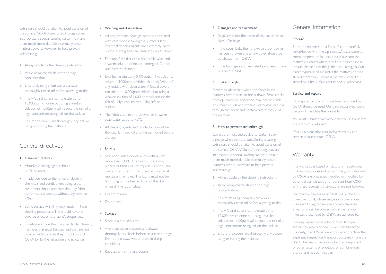extra care should be taken to avoid abrasion of the surface. OSKA V-Guard Technology covers incorporate a special layering system to make them much more durable than many other mattress covers. However, to help prevent strikethrough:

- 1. Always abide by the cleaning instructions
- 2. Avoid using chemicals with too high concentration.
- 3. Ensure cleaning chemicals are always thoroughly rinsed off before allowing to dry
- 4. The V-Guard covers can tolerate up to 10,000ppm chlorine but using a weaker solution of 1,000ppm will reduce the risk of a high concentrate being left on the surface
- 5. Ensure the covers are thoroughly dry before using or storing the mattress

### General directives

#### 1. General directives

- Abrasive cleaning agents should NOT be used.
- In addition, due to the range of cleaning chemicals and conditioners being used, customers should ascertain that any fabric performs as expected, without any adverse effect.
- Some surface wrinkling may result from cleaning procedures. This should have no adverse effect on the fabric's properties.
- If customers have their own particular cleaning methods that must be used and that are not covered in this article, they should consult OSKA for further direction and guidance.

#### 2. Washing and disinfection

- All polyurethane coatings need to be treated with care when cleaning the surface. Many industrial cleaning agents are extremely harsh on the coating and can cause it to break down.
- For superficial dirt use a disposable wipe and a warm solution of neutral detergent. Do not use abrasive cleaners.
- Disinfect in situ using 0.1% sodium hypochlorite solution (1000ppm available chlorine). Wipe off any residue with clean water. V-Guard covers can tolerate 10,000ppm chlorine but using a weaker solution of 1,000 ppm will reduce the risk of a high concentrate being left on the surface.
- The fabrics are able to be washed in warm soap water at up to 95°C.
- All cleaning agents and disinfectants must be thoroughly rinsed off and the item dried before storage.

#### 3. Drying

- Spin and tumble dry on a low setting (not more than 130°C. The fabric surface may wrinkle but this will not impede function). The operator ensures it is removed as soon as all moisture is removed. The fabric must not be left sitting on the heated bowl of the drier when drying is complete
- Do not mangle
- Do not iron

#### 4. Storage

- Store in a cool dry area.
- Avoid excessive pressure and always thoroughly dry fabric before re-use or storage. Do not fold away wet or store in damp conditions.
- Keep away from sharp objects.

#### 5. Damages and replacement

- Regularly check the inside of the cover for any signs of leakage
- If the cover leaks then the waterproof barrier has been broken and a new cover should be purchased from OSKA.
- If the foam gets contaminated, purchase a new one from OSKA.

#### 6. Strikethrough

Strikethrough occurs when the fibres in the mattress covers start to break down. Small cracks develop, which on inspection, may not be visible. This means fluids and other contaminates can pass through the cover and contaminate the core of the mattress.

#### 7. How to prevent strikethrough

Covers are most susceptible to strikethrough damage when they are wet. During cleaning, extra care should be taken to avoid abrasion of the surface. OSKA V-Guard Technology covers incorporate a special layering system to make them much more durable than many other mattress covers. However, to help prevent strikethrough:

- 1. Always abide by the cleaning instructions
- 2. Avoid using chemicals with too high concentration.
- 3. Ensure cleaning chemicals are always thoroughly rinsed off before allowing to dry
- 4. The V-Guard covers can tolerate up to 10,000ppm chlorine but using a weaker solution of 1,000ppm will reduce the risk of a high concentrate being left on the surface
- 5. Ensure the covers are thoroughly dry before using or storing the mattress

### General information

#### Storage

Store the mattress on a flat surface or carefully rolled/folded with the zip closed. Always store at room temperature in a dry area. Make sure the mattress is stored where it will not be exposed to thrusts, hits or other things that can damage it. Avoid direct exposure of sunlight. If the mattress is to be stored more than 3 months, we recommend it is stored on a flat surface (not folded or rolled up).

#### Service and repairs

Only spare parts which have been approved by OSKA should be used. Using non-approved spare parts will invalidate the warranty.

You must submit a warranty claim to OSKA before the product is returned.

If you have questions regarding warranty and service please contact OSKA.

### Warranty

The warranty is based on statutory regulations. The warranty does not apply if the goods supplied by OSKA are processed, handled or modified by other parties without prior consent from OSKA or if these operating instructions are not followed.

For medical devices as understood by the EU - Directive 93/94, whose usage (also operations) is subject to regular service and maintenance, a warranty can be offered only if the service intervals prescribed by OSKA are adhered to.

If during inspection it is found that damages are due to wear and tear or are not subject to warranty, then OSKA are empowered to claim the expenses (inspection, transport costs etc) from the client. The use of parts or individual components of other systems or products or combinations thereof are not permissible.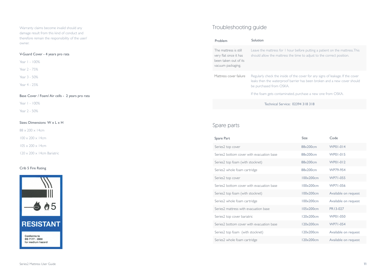Warranty claims become invalid should any damage result from this kind of conduct and therefore remain the responsibility of the user/ owner.

#### V-Guard Cover - 4 years pro rata

Year 1 - 100%

Year 2 - 75%

Year 3 - 50%

Year 4 - 25%

#### Base Cover / Foam/ Air cells - 2 years pro rata

Year 1 - 100%

Year 2 - 50%

#### Sizes: Dimensions W x L x H

88 x 200 x 14cm

 $100 \times 200 \times 14$ cm

 $105 \times 200 \times 14$ cm

 $120 \times 200 \times 14$ cm Bariatric

#### Crib 5 Fire Rating



### Troubleshooting guide

| Problem                                                                                      | Solution                                                                                                                                                                                                                                              |
|----------------------------------------------------------------------------------------------|-------------------------------------------------------------------------------------------------------------------------------------------------------------------------------------------------------------------------------------------------------|
| The mattress is still<br>very flat once it has<br>been taken out of its<br>vacuum packaging. | Leave the mattress for I hour before putting a patient on the mattress. This<br>should allow the mattress the time to adjust to the correct position.                                                                                                 |
| Mattress cover failure                                                                       | Regularly check the inside of the cover for any signs of leakage. If the cover<br>leaks then the waterproof barrier has been broken and a new cover should<br>be purchased from OSKA.<br>If the foam gets contaminated, purchase a new one from OSKA. |
|                                                                                              | Technical Service: 02394 318 318                                                                                                                                                                                                                      |

### Spare parts

| Spare Part                                | Size                | Code                 |
|-------------------------------------------|---------------------|----------------------|
| Series2 top cover                         | 88×200cm            | WP01-014             |
| Series? bottom cover with evacuation base | 88x200cm            | WP01-015             |
| Series2 top foam (with stocknet)          | 88×200cm            | WP01-012             |
| Series2 whole foam cartridge              | 88x200cm            | WP79-954             |
| Series2 top cover                         | $100 \times 200$ cm | WP71-055             |
| Series? bottom cover with evacuation base | $100 \times 200$ cm | WP71-056             |
| Series2 top foam (with stocknet)          | $100 \times 200$ cm | Available on request |
| Series2 whole foam cartridge              | $100 \times 200$ cm | Available on request |
| Series? mattress with evacuation base     | 105x200cm           | PR13-027             |
| Series2 top cover bariatric               | 120x200cm           | WP01-050             |
| Series? bottom cover with evacuation base | $120\times200cm$    | WP71-054             |
| Series2 top foam (with stocknet)          | 120×200cm           | Available on request |
| Series2 whole foam cartridge              | 120x200cm           | Available on request |